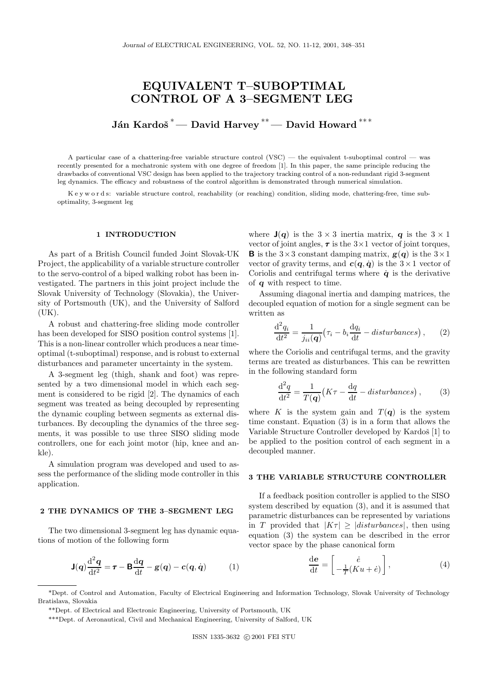# EQUIVALENT T–SUBOPTIMAL CONTROL OF A 3–SEGMENT LEG

Ján Kardoš<sup>\*</sup>— David Harvey<sup>\*\*</sup>— David Howard<sup>\*\*\*</sup>

A particular case of a chattering-free variable structure control (VSC) — the equivalent t-suboptimal control — was recently presented for a mechatronic system with one degree of freedom [1]. In this paper, the same principle reducing the drawbacks of conventional VSC design has been applied to the trajectory tracking control of a non-redundant rigid 3-segment leg dynamics. The efficacy and robustness of the control algorithm is demonstrated through numerical simulation.

K e y w o r d s: variable structure control, reachability (or reaching) condition, sliding mode, chattering-free, time suboptimality, 3-segment leg

# 1 INTRODUCTION

As part of a British Council funded Joint Slovak-UK Project, the applicability of a variable structure controller to the servo-control of a biped walking robot has been investigated. The partners in this joint project include the Slovak University of Technology (Slovakia), the University of Portsmouth (UK), and the University of Salford (UK).

A robust and chattering-free sliding mode controller has been developed for SISO position control systems [1]. This is a non-linear controller which produces a near timeoptimal (t-suboptimal) response, and is robust to external disturbances and parameter uncertainty in the system.

A 3-segment leg (thigh, shank and foot) was represented by a two dimensional model in which each segment is considered to be rigid [2]. The dynamics of each segment was treated as being decoupled by representing the dynamic coupling between segments as external disturbances. By decoupling the dynamics of the three segments, it was possible to use three SISO sliding mode controllers, one for each joint motor (hip, knee and ankle).

A simulation program was developed and used to assess the performance of the sliding mode controller in this application.

# 2 THE DYNAMICS OF THE 3–SEGMENT LEG

The two dimensional 3-segment leg has dynamic equations of motion of the following form

$$
\mathbf{J}(q)\frac{\mathrm{d}^2q}{\mathrm{d}t^2} = \boldsymbol{\tau} - \mathbf{B}\frac{\mathrm{d}q}{\mathrm{d}t} - \mathbf{g}(q) - \mathbf{c}(q, \dot{q}) \tag{1}
$$

where  $J(q)$  is the  $3 \times 3$  inertia matrix, q is the  $3 \times 1$ vector of joint angles,  $\tau$  is the  $3\times1$  vector of joint torques, **B** is the  $3 \times 3$  constant damping matrix,  $g(q)$  is the  $3 \times 1$ vector of gravity terms, and  $c(q, \dot{q})$  is the  $3 \times 1$  vector of Coriolis and centrifugal terms where  $\dot{q}$  is the derivative of q with respect to time.

Assuming diagonal inertia and damping matrices, the decoupled equation of motion for a single segment can be written as

$$
\frac{\mathrm{d}^2 q_i}{\mathrm{d}t^2} = \frac{1}{j_{ii}(\mathbf{q})} \left(\tau_i - b_i \frac{\mathrm{d}q_i}{\mathrm{d}t} - \text{disturbances}\right),\qquad(2)
$$

where the Coriolis and centrifugal terms, and the gravity terms are treated as disturbances. This can be rewritten in the following standard form

$$
\frac{\mathrm{d}^2 q}{\mathrm{d}t^2} = \frac{1}{T(\mathbf{q})} \left( K\tau - \frac{\mathrm{d}q}{\mathrm{d}t} - \text{disturbances} \right),\qquad(3)
$$

where K is the system gain and  $T(q)$  is the system time constant. Equation (3) is in a form that allows the Variable Structure Controller developed by Kardoš [1] to be applied to the position control of each segment in a decoupled manner.

# 3 THE VARIABLE STRUCTURE CONTROLLER

If a feedback position controller is applied to the SISO system described by equation (3), and it is assumed that parametric disturbances can be represented by variations in T provided that  $|K\tau| \geq |disturbances|$ , then using equation (3) the system can be described in the error vector space by the phase canonical form

$$
\frac{\mathrm{d}\mathbf{e}}{\mathrm{d}t} = \begin{bmatrix} \dot{e} \\ -\frac{1}{T}(Ku + \dot{e}) \end{bmatrix},\tag{4}
$$

<sup>\*</sup>Dept. of Control and Automation, Faculty of Electrical Engineering and Information Technology, Slovak University of Technology Bratislava, Slovakia

<sup>\*\*</sup>Dept. of Electrical and Electronic Engineering, University of Portsmouth, UK

<sup>\*\*\*</sup>Dept. of Aeronautical, Civil and Mechanical Engineering, University of Salford, UK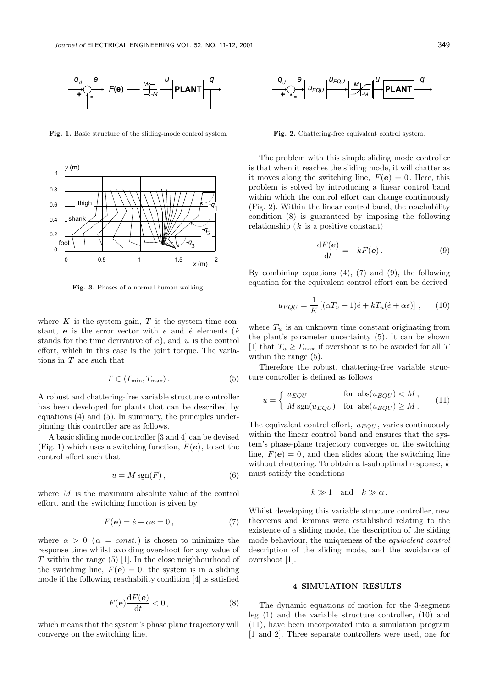

Fig. 1. Basic structure of the sliding-mode control system.



Fig. 3. Phases of a normal human walking.

where  $K$  is the system gain,  $T$  is the system time constant, e is the error vector with e and  $\dot{e}$  elements ( $\dot{e}$ stands for the time derivative of  $e$ ), and  $u$  is the control effort, which in this case is the joint torque. The variations in T are such that

$$
T \in \langle T_{\min}, T_{\max} \rangle. \tag{5}
$$

A robust and chattering-free variable structure controller has been developed for plants that can be described by equations (4) and (5). In summary, the principles underpinning this controller are as follows.

A basic sliding mode controller [3 and 4] can be devised (Fig. 1) which uses a switching function,  $F(e)$ , to set the control effort such that

$$
u = M \operatorname{sgn}(F),\tag{6}
$$

where M is the maximum absolute value of the control effort, and the switching function is given by

$$
F(\mathbf{e}) = \dot{e} + \alpha e = 0, \tag{7}
$$

where  $\alpha > 0$  ( $\alpha = const.$ ) is chosen to minimize the response time whilst avoiding overshoot for any value of  $T$  within the range (5) [1]. In the close neighbourhood of the switching line,  $F(e) = 0$ , the system is in a sliding mode if the following reachability condition [4] is satisfied

$$
F(\mathbf{e})\frac{\mathrm{d}F(\mathbf{e})}{\mathrm{d}t}<0\,,\tag{8}
$$

which means that the system's phase plane trajectory will converge on the switching line.



Fig. 2. Chattering-free equivalent control system.

The problem with this simple sliding mode controller is that when it reaches the sliding mode, it will chatter as it moves along the switching line,  $F(\mathbf{e}) = 0$ . Here, this problem is solved by introducing a linear control band within which the control effort can change continuously (Fig. 2). Within the linear control band, the reachability condition (8) is guaranteed by imposing the following relationship  $(k$  is a positive constant)

$$
\frac{\mathrm{d}F(\mathbf{e})}{\mathrm{d}t} = -kF(\mathbf{e}).\tag{9}
$$

By combining equations  $(4)$ ,  $(7)$  and  $(9)$ , the following equation for the equivalent control effort can be derived

$$
u_{EQU} = \frac{1}{K} \left[ (\alpha T_u - 1)\dot{e} + kT_u(\dot{e} + \alpha e) \right], \qquad (10)
$$

where  $T_u$  is an unknown time constant originating from the plant's parameter uncertainty (5). It can be shown [1] that  $T_u \geq T_{\text{max}}$  if overshoot is to be avoided for all T within the range  $(5)$ .

Therefore the robust, chattering-free variable structure controller is defined as follows

$$
u = \begin{cases} u_{EQU} & \text{for abs}(u_{EQU}) < M, \\ M \text{sgn}(u_{EQU}) & \text{for abs}(u_{EQU}) \ge M. \end{cases}
$$
 (11)

The equivalent control effort,  $u_{EQU}$ , varies continuously within the linear control band and ensures that the system's phase-plane trajectory converges on the switching line,  $F(e) = 0$ , and then slides along the switching line without chattering. To obtain a t-suboptimal response,  $k$ must satisfy the conditions

$$
k \gg 1
$$
 and  $k \gg \alpha$ .

Whilst developing this variable structure controller, new theorems and lemmas were established relating to the existence of a sliding mode, the description of the sliding mode behaviour, the uniqueness of the equivalent control description of the sliding mode, and the avoidance of overshoot [1].

## 4 SIMULATION RESULTS

The dynamic equations of motion for the 3-segment leg (1) and the variable structure controller, (10) and (11), have been incorporated into a simulation program [1 and 2]. Three separate controllers were used, one for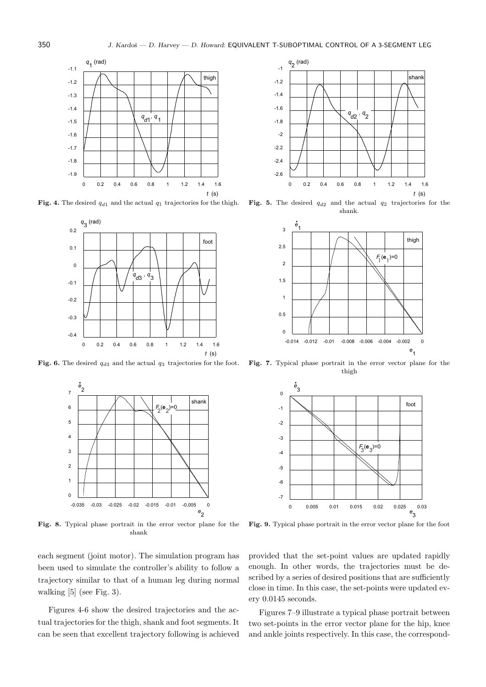

Fig. 4. The desired  $q_{d1}$  and the actual  $q_1$  trajectories for the thigh.



Fig. 6. The desired  $q_{d3}$  and the actual  $q_3$  trajectories for the foot.



Fig. 8. Typical phase portrait in the error vector plane for the shank

each segment (joint motor). The simulation program has been used to simulate the controller's ability to follow a trajectory similar to that of a human leg during normal walking [5] (see Fig. 3).

Figures 4-6 show the desired trajectories and the actual trajectories for the thigh, shank and foot segments. It can be seen that excellent trajectory following is achieved



Fig. 5. The desired  $q_{d2}$  and the actual  $q_2$  trajectories for the shank.



Fig. 7. Typical phase portrait in the error vector plane for the thigh



Fig. 9. Typical phase portrait in the error vector plane for the foot

provided that the set-point values are updated rapidly enough. In other words, the trajectories must be described by a series of desired positions that are sufficiently close in time. In this case, the set-points were updated every 0.0145 seconds.

Figures 7–9 illustrate a typical phase portrait between two set-points in the error vector plane for the hip, knee and ankle joints respectively. In this case, the correspond